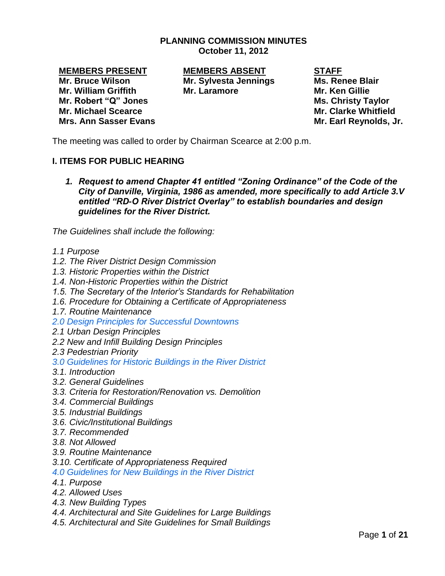## **PLANNING COMMISSION MINUTES October 11, 2012**

**Mr. Robert "Q" Jones Mr. Robert "Q" Jones Mr. Michael Scearce Mr. Clarke Whitfield Mrs. Ann Sasser Evans Mr. Earl Reynolds, Jr.**

**MEMBERS PRESENT MEMBERS ABSENT STAFF Mr. Bruce Wilson Mr. Sylvesta Jennings Ms. Renee Blair Mr. William Griffith Mr. Laramore Mr. Ken Gillie**

The meeting was called to order by Chairman Scearce at 2:00 p.m.

# **I. ITEMS FOR PUBLIC HEARING**

*1. Request to amend Chapter 41 entitled "Zoning Ordinance" of the Code of the City of Danville, Virginia, 1986 as amended, more specifically to add Article 3.V entitled "RD-O River District Overlay" to establish boundaries and design guidelines for the River District.* 

*The Guidelines shall include the following:*

- *1.1 Purpose*
- *1.2. The River District Design Commission*
- *1.3. Historic Properties within the District*
- *1.4. Non-Historic Properties within the District*
- *1.5. The Secretary of the Interior's Standards for Rehabilitation*
- *1.6. Procedure for Obtaining a Certificate of Appropriateness*
- *1.7. Routine Maintenance*
- *2.0 Design Principles for Successful Downtowns*
- *2.1 Urban Design Principles*
- *2.2 New and Infill Building Design Principles*
- *2.3 Pedestrian Priority*
- *3.0 Guidelines for Historic Buildings in the River District*
- *3.1. Introduction*
- *3.2. General Guidelines*
- *3.3. Criteria for Restoration/Renovation vs. Demolition*
- *3.4. Commercial Buildings*
- *3.5. Industrial Buildings*
- *3.6. Civic/Institutional Buildings*
- *3.7. Recommended*
- *3.8. Not Allowed*
- *3.9. Routine Maintenance*
- *3.10. Certificate of Appropriateness Required*

*4.0 Guidelines for New Buildings in the River District* 

- *4.1. Purpose*
- *4.2. Allowed Uses*
- *4.3. New Building Types*
- *4.4. Architectural and Site Guidelines for Large Buildings*
- *4.5. Architectural and Site Guidelines for Small Buildings*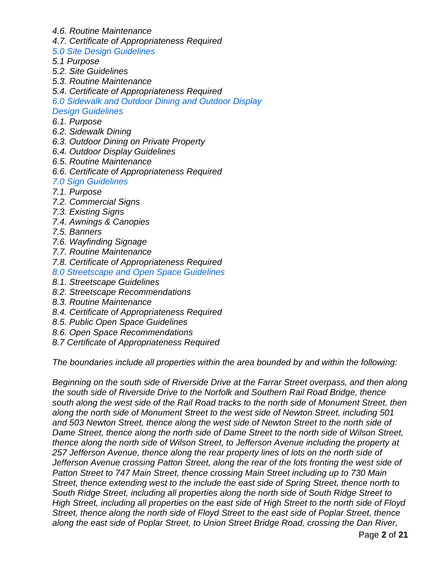- *4.6. Routine Maintenance*
- *4.7. Certificate of Appropriateness Required*
- *5.0 Site Design Guidelines*
- *5.1 Purpose*
- *5.2. Site Guidelines*
- *5.3. Routine Maintenance*
- *5.4. Certificate of Appropriateness Required*
- *6.0 Sidewalk and Outdoor Dining and Outdoor Display*

#### *Design Guidelines*

- *6.1. Purpose*
- *6.2. Sidewalk Dining*
- *6.3. Outdoor Dining on Private Property*
- *6.4. Outdoor Display Guidelines*
- *6.5. Routine Maintenance*
- *6.6. Certificate of Appropriateness Required*

### *7.0 Sign Guidelines*

- *7.1. Purpose*
- *7.2. Commercial Signs*
- *7.3. Existing Signs*
- *7.4. Awnings & Canopies*
- *7.5. Banners*
- *7.6. Wayfinding Signage*
- *7.7. Routine Maintenance*
- *7.8. Certificate of Appropriateness Required*
- *8.0 Streetscape and Open Space Guidelines*
- *8.1. Streetscape Guidelines*
- *8.2. Streetscape Recommendations*
- *8.3. Routine Maintenance*
- *8.4. Certificate of Appropriateness Required*
- *8.5. Public Open Space Guidelines*
- *8.6. Open Space Recommendations*
- *8.7 Certificate of Appropriateness Required*

*The boundaries include all properties within the area bounded by and within the following:*

*Beginning on the south side of Riverside Drive at the Farrar Street overpass, and then along the south side of Riverside Drive to the Norfolk and Southern Rail Road Bridge, thence south along the west side of the Rail Road tracks to the north side of Monument Street, then along the north side of Monument Street to the west side of Newton Street, including 501 and 503 Newton Street, thence along the west side of Newton Street to the north side of Dame Street, thence along the north side of Dame Street to the north side of Wilson Street, thence along the north side of Wilson Street, to Jefferson Avenue including the property at 257 Jefferson Avenue, thence along the rear property lines of lots on the north side of Jefferson Avenue crossing Patton Street, along the rear of the lots fronting the west side of Patton Street to 747 Main Street, thence crossing Main Street including up to 730 Main Street, thence extending west to the include the east side of Spring Street, thence north to South Ridge Street, including all properties along the north side of South Ridge Street to High Street, including all properties on the east side of High Street to the north side of Floyd Street, thence along the north side of Floyd Street to the east side of Poplar Street, thence along the east side of Poplar Street, to Union Street Bridge Road, crossing the Dan River,*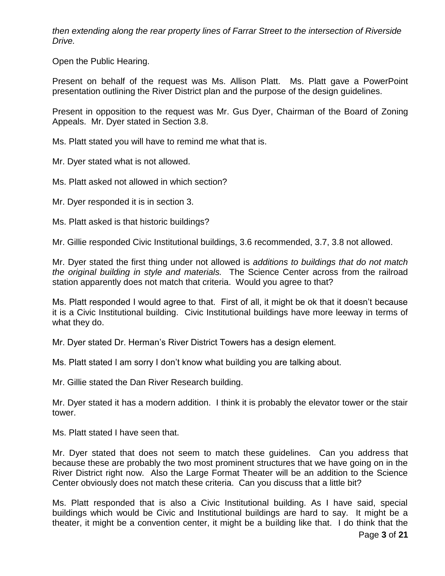*then extending along the rear property lines of Farrar Street to the intersection of Riverside Drive.*

Open the Public Hearing.

Present on behalf of the request was Ms. Allison Platt. Ms. Platt gave a PowerPoint presentation outlining the River District plan and the purpose of the design guidelines.

Present in opposition to the request was Mr. Gus Dyer, Chairman of the Board of Zoning Appeals. Mr. Dyer stated in Section 3.8.

Ms. Platt stated you will have to remind me what that is.

Mr. Dyer stated what is not allowed.

Ms. Platt asked not allowed in which section?

Mr. Dyer responded it is in section 3.

Ms. Platt asked is that historic buildings?

Mr. Gillie responded Civic Institutional buildings, 3.6 recommended, 3.7, 3.8 not allowed.

Mr. Dyer stated the first thing under not allowed is *additions to buildings that do not match the original building in style and materials.* The Science Center across from the railroad station apparently does not match that criteria. Would you agree to that?

Ms. Platt responded I would agree to that. First of all, it might be ok that it doesn't because it is a Civic Institutional building. Civic Institutional buildings have more leeway in terms of what they do.

Mr. Dyer stated Dr. Herman's River District Towers has a design element.

Ms. Platt stated I am sorry I don't know what building you are talking about.

Mr. Gillie stated the Dan River Research building.

Mr. Dyer stated it has a modern addition. I think it is probably the elevator tower or the stair tower.

Ms. Platt stated I have seen that.

Mr. Dyer stated that does not seem to match these guidelines. Can you address that because these are probably the two most prominent structures that we have going on in the River District right now. Also the Large Format Theater will be an addition to the Science Center obviously does not match these criteria. Can you discuss that a little bit?

Ms. Platt responded that is also a Civic Institutional building. As I have said, special buildings which would be Civic and Institutional buildings are hard to say. It might be a theater, it might be a convention center, it might be a building like that. I do think that the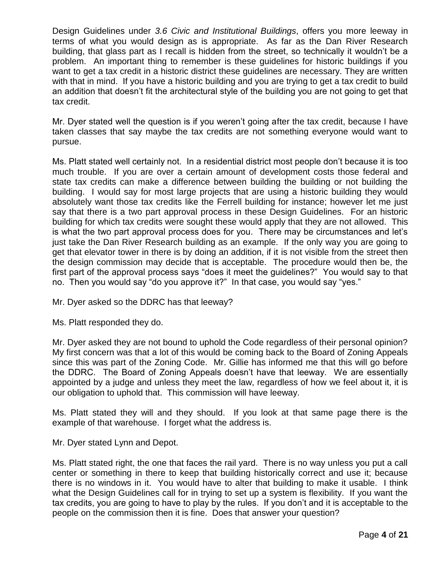Design Guidelines under *3.6 Civic and Institutional Buildings*, offers you more leeway in terms of what you would design as is appropriate. As far as the Dan River Research building, that glass part as I recall is hidden from the street, so technically it wouldn't be a problem. An important thing to remember is these guidelines for historic buildings if you want to get a tax credit in a historic district these guidelines are necessary. They are written with that in mind. If you have a historic building and you are trying to get a tax credit to build an addition that doesn't fit the architectural style of the building you are not going to get that tax credit.

Mr. Dyer stated well the question is if you weren't going after the tax credit, because I have taken classes that say maybe the tax credits are not something everyone would want to pursue.

Ms. Platt stated well certainly not. In a residential district most people don't because it is too much trouble. If you are over a certain amount of development costs those federal and state tax credits can make a difference between building the building or not building the building. I would say for most large projects that are using a historic building they would absolutely want those tax credits like the Ferrell building for instance; however let me just say that there is a two part approval process in these Design Guidelines. For an historic building for which tax credits were sought these would apply that they are not allowed. This is what the two part approval process does for you. There may be circumstances and let's just take the Dan River Research building as an example. If the only way you are going to get that elevator tower in there is by doing an addition, if it is not visible from the street then the design commission may decide that is acceptable. The procedure would then be, the first part of the approval process says "does it meet the guidelines?" You would say to that no. Then you would say "do you approve it?" In that case, you would say "yes."

Mr. Dyer asked so the DDRC has that leeway?

Ms. Platt responded they do.

Mr. Dyer asked they are not bound to uphold the Code regardless of their personal opinion? My first concern was that a lot of this would be coming back to the Board of Zoning Appeals since this was part of the Zoning Code. Mr. Gillie has informed me that this will go before the DDRC. The Board of Zoning Appeals doesn't have that leeway. We are essentially appointed by a judge and unless they meet the law, regardless of how we feel about it, it is our obligation to uphold that. This commission will have leeway.

Ms. Platt stated they will and they should. If you look at that same page there is the example of that warehouse. I forget what the address is.

Mr. Dyer stated Lynn and Depot.

Ms. Platt stated right, the one that faces the rail yard. There is no way unless you put a call center or something in there to keep that building historically correct and use it; because there is no windows in it. You would have to alter that building to make it usable. I think what the Design Guidelines call for in trying to set up a system is flexibility. If you want the tax credits, you are going to have to play by the rules. If you don't and it is acceptable to the people on the commission then it is fine. Does that answer your question?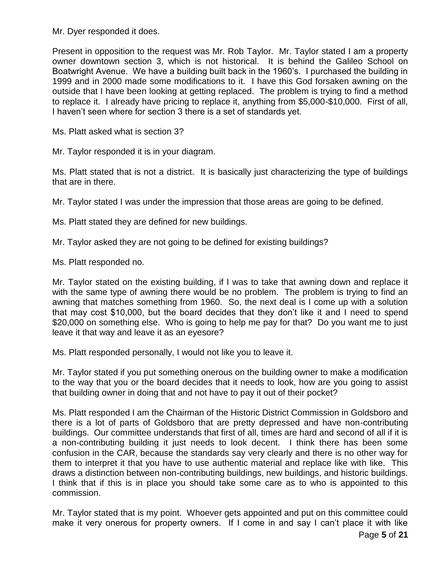Mr. Dyer responded it does.

Present in opposition to the request was Mr. Rob Taylor. Mr. Taylor stated I am a property owner downtown section 3, which is not historical. It is behind the Galileo School on Boatwright Avenue. We have a building built back in the 1960's. I purchased the building in 1999 and in 2000 made some modifications to it. I have this God forsaken awning on the outside that I have been looking at getting replaced. The problem is trying to find a method to replace it. I already have pricing to replace it, anything from \$5,000-\$10,000. First of all, I haven't seen where for section 3 there is a set of standards yet.

Ms. Platt asked what is section 3?

Mr. Taylor responded it is in your diagram.

Ms. Platt stated that is not a district. It is basically just characterizing the type of buildings that are in there.

Mr. Taylor stated I was under the impression that those areas are going to be defined.

Ms. Platt stated they are defined for new buildings.

Mr. Taylor asked they are not going to be defined for existing buildings?

Ms. Platt responded no.

Mr. Taylor stated on the existing building, if I was to take that awning down and replace it with the same type of awning there would be no problem. The problem is trying to find an awning that matches something from 1960. So, the next deal is I come up with a solution that may cost \$10,000, but the board decides that they don't like it and I need to spend \$20,000 on something else. Who is going to help me pay for that? Do you want me to just leave it that way and leave it as an eyesore?

Ms. Platt responded personally, I would not like you to leave it.

Mr. Taylor stated if you put something onerous on the building owner to make a modification to the way that you or the board decides that it needs to look, how are you going to assist that building owner in doing that and not have to pay it out of their pocket?

Ms. Platt responded I am the Chairman of the Historic District Commission in Goldsboro and there is a lot of parts of Goldsboro that are pretty depressed and have non-contributing buildings. Our committee understands that first of all, times are hard and second of all if it is a non-contributing building it just needs to look decent. I think there has been some confusion in the CAR, because the standards say very clearly and there is no other way for them to interpret it that you have to use authentic material and replace like with like. This draws a distinction between non-contributing buildings, new buildings, and historic buildings. I think that if this is in place you should take some care as to who is appointed to this commission.

Mr. Taylor stated that is my point. Whoever gets appointed and put on this committee could make it very onerous for property owners. If I come in and say I can't place it with like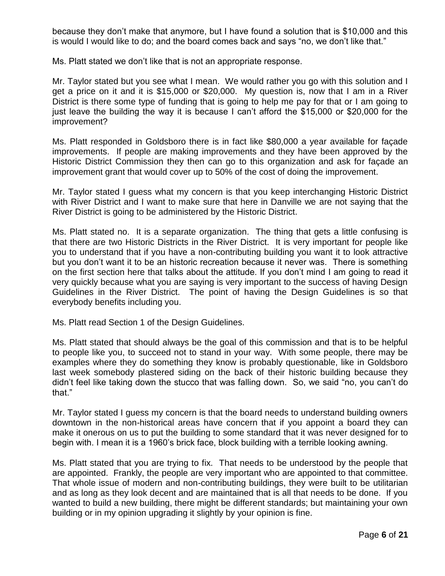because they don't make that anymore, but I have found a solution that is \$10,000 and this is would I would like to do; and the board comes back and says "no, we don't like that."

Ms. Platt stated we don't like that is not an appropriate response.

Mr. Taylor stated but you see what I mean. We would rather you go with this solution and I get a price on it and it is \$15,000 or \$20,000. My question is, now that I am in a River District is there some type of funding that is going to help me pay for that or I am going to just leave the building the way it is because I can't afford the \$15,000 or \$20,000 for the improvement?

Ms. Platt responded in Goldsboro there is in fact like \$80,000 a year available for façade improvements. If people are making improvements and they have been approved by the Historic District Commission they then can go to this organization and ask for façade an improvement grant that would cover up to 50% of the cost of doing the improvement.

Mr. Taylor stated I guess what my concern is that you keep interchanging Historic District with River District and I want to make sure that here in Danville we are not saying that the River District is going to be administered by the Historic District.

Ms. Platt stated no. It is a separate organization. The thing that gets a little confusing is that there are two Historic Districts in the River District. It is very important for people like you to understand that if you have a non-contributing building you want it to look attractive but you don't want it to be an historic recreation because it never was. There is something on the first section here that talks about the attitude. If you don't mind I am going to read it very quickly because what you are saying is very important to the success of having Design Guidelines in the River District. The point of having the Design Guidelines is so that everybody benefits including you.

Ms. Platt read Section 1 of the Design Guidelines.

Ms. Platt stated that should always be the goal of this commission and that is to be helpful to people like you, to succeed not to stand in your way. With some people, there may be examples where they do something they know is probably questionable, like in Goldsboro last week somebody plastered siding on the back of their historic building because they didn't feel like taking down the stucco that was falling down. So, we said "no, you can't do that."

Mr. Taylor stated I guess my concern is that the board needs to understand building owners downtown in the non-historical areas have concern that if you appoint a board they can make it onerous on us to put the building to some standard that it was never designed for to begin with. I mean it is a 1960's brick face, block building with a terrible looking awning.

Ms. Platt stated that you are trying to fix. That needs to be understood by the people that are appointed. Frankly, the people are very important who are appointed to that committee. That whole issue of modern and non-contributing buildings, they were built to be utilitarian and as long as they look decent and are maintained that is all that needs to be done. If you wanted to build a new building, there might be different standards; but maintaining your own building or in my opinion upgrading it slightly by your opinion is fine.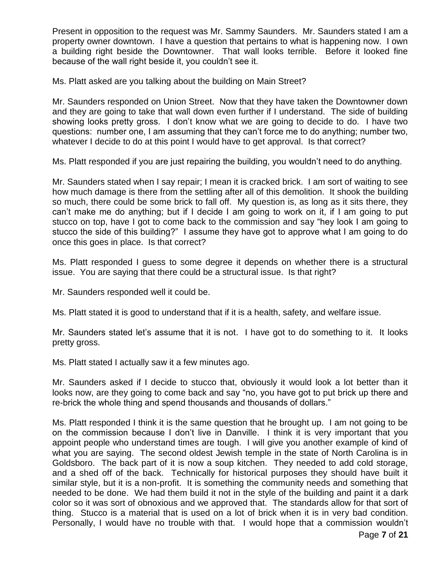Present in opposition to the request was Mr. Sammy Saunders. Mr. Saunders stated I am a property owner downtown. I have a question that pertains to what is happening now. I own a building right beside the Downtowner. That wall looks terrible. Before it looked fine because of the wall right beside it, you couldn't see it.

Ms. Platt asked are you talking about the building on Main Street?

Mr. Saunders responded on Union Street. Now that they have taken the Downtowner down and they are going to take that wall down even further if I understand. The side of building showing looks pretty gross. I don't know what we are going to decide to do. I have two questions: number one, I am assuming that they can't force me to do anything; number two, whatever I decide to do at this point I would have to get approval. Is that correct?

Ms. Platt responded if you are just repairing the building, you wouldn't need to do anything.

Mr. Saunders stated when I say repair; I mean it is cracked brick. I am sort of waiting to see how much damage is there from the settling after all of this demolition. It shook the building so much, there could be some brick to fall off. My question is, as long as it sits there, they can't make me do anything; but if I decide I am going to work on it, if I am going to put stucco on top, have I got to come back to the commission and say "hey look I am going to stucco the side of this building?" I assume they have got to approve what I am going to do once this goes in place. Is that correct?

Ms. Platt responded I guess to some degree it depends on whether there is a structural issue. You are saying that there could be a structural issue. Is that right?

Mr. Saunders responded well it could be.

Ms. Platt stated it is good to understand that if it is a health, safety, and welfare issue.

Mr. Saunders stated let's assume that it is not. I have got to do something to it. It looks pretty gross.

Ms. Platt stated I actually saw it a few minutes ago.

Mr. Saunders asked if I decide to stucco that, obviously it would look a lot better than it looks now, are they going to come back and say "no, you have got to put brick up there and re-brick the whole thing and spend thousands and thousands of dollars."

Ms. Platt responded I think it is the same question that he brought up. I am not going to be on the commission because I don't live in Danville. I think it is very important that you appoint people who understand times are tough. I will give you another example of kind of what you are saying. The second oldest Jewish temple in the state of North Carolina is in Goldsboro. The back part of it is now a soup kitchen. They needed to add cold storage, and a shed off of the back. Technically for historical purposes they should have built it similar style, but it is a non-profit. It is something the community needs and something that needed to be done. We had them build it not in the style of the building and paint it a dark color so it was sort of obnoxious and we approved that. The standards allow for that sort of thing. Stucco is a material that is used on a lot of brick when it is in very bad condition. Personally, I would have no trouble with that. I would hope that a commission wouldn't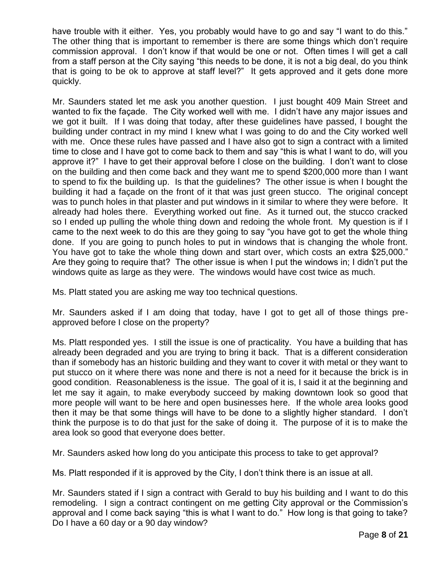have trouble with it either. Yes, you probably would have to go and say "I want to do this." The other thing that is important to remember is there are some things which don't require commission approval. I don't know if that would be one or not. Often times I will get a call from a staff person at the City saying "this needs to be done, it is not a big deal, do you think that is going to be ok to approve at staff level?" It gets approved and it gets done more quickly.

Mr. Saunders stated let me ask you another question. I just bought 409 Main Street and wanted to fix the façade. The City worked well with me. I didn't have any major issues and we got it built. If I was doing that today, after these guidelines have passed, I bought the building under contract in my mind I knew what I was going to do and the City worked well with me. Once these rules have passed and I have also got to sign a contract with a limited time to close and I have got to come back to them and say "this is what I want to do, will you approve it?" I have to get their approval before I close on the building. I don't want to close on the building and then come back and they want me to spend \$200,000 more than I want to spend to fix the building up. Is that the guidelines? The other issue is when I bought the building it had a façade on the front of it that was just green stucco. The original concept was to punch holes in that plaster and put windows in it similar to where they were before. It already had holes there. Everything worked out fine. As it turned out, the stucco cracked so I ended up pulling the whole thing down and redoing the whole front. My question is if I came to the next week to do this are they going to say "you have got to get the whole thing done. If you are going to punch holes to put in windows that is changing the whole front. You have got to take the whole thing down and start over, which costs an extra \$25,000." Are they going to require that? The other issue is when I put the windows in; I didn't put the windows quite as large as they were. The windows would have cost twice as much.

Ms. Platt stated you are asking me way too technical questions.

Mr. Saunders asked if I am doing that today, have I got to get all of those things preapproved before I close on the property?

Ms. Platt responded yes. I still the issue is one of practicality. You have a building that has already been degraded and you are trying to bring it back. That is a different consideration than if somebody has an historic building and they want to cover it with metal or they want to put stucco on it where there was none and there is not a need for it because the brick is in good condition. Reasonableness is the issue. The goal of it is, I said it at the beginning and let me say it again, to make everybody succeed by making downtown look so good that more people will want to be here and open businesses here. If the whole area looks good then it may be that some things will have to be done to a slightly higher standard. I don't think the purpose is to do that just for the sake of doing it. The purpose of it is to make the area look so good that everyone does better.

Mr. Saunders asked how long do you anticipate this process to take to get approval?

Ms. Platt responded if it is approved by the City, I don't think there is an issue at all.

Mr. Saunders stated if I sign a contract with Gerald to buy his building and I want to do this remodeling. I sign a contract contingent on me getting City approval or the Commission's approval and I come back saying "this is what I want to do." How long is that going to take? Do I have a 60 day or a 90 day window?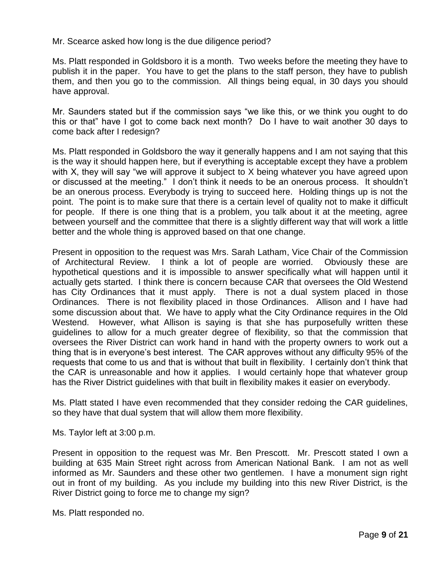Mr. Scearce asked how long is the due diligence period?

Ms. Platt responded in Goldsboro it is a month. Two weeks before the meeting they have to publish it in the paper. You have to get the plans to the staff person, they have to publish them, and then you go to the commission. All things being equal, in 30 days you should have approval.

Mr. Saunders stated but if the commission says "we like this, or we think you ought to do this or that" have I got to come back next month? Do I have to wait another 30 days to come back after I redesign?

Ms. Platt responded in Goldsboro the way it generally happens and I am not saying that this is the way it should happen here, but if everything is acceptable except they have a problem with X, they will say "we will approve it subject to X being whatever you have agreed upon or discussed at the meeting." I don't think it needs to be an onerous process. It shouldn't be an onerous process. Everybody is trying to succeed here. Holding things up is not the point. The point is to make sure that there is a certain level of quality not to make it difficult for people. If there is one thing that is a problem, you talk about it at the meeting, agree between yourself and the committee that there is a slightly different way that will work a little better and the whole thing is approved based on that one change.

Present in opposition to the request was Mrs. Sarah Latham, Vice Chair of the Commission of Architectural Review. I think a lot of people are worried. Obviously these are hypothetical questions and it is impossible to answer specifically what will happen until it actually gets started. I think there is concern because CAR that oversees the Old Westend has City Ordinances that it must apply. There is not a dual system placed in those Ordinances. There is not flexibility placed in those Ordinances. Allison and I have had some discussion about that. We have to apply what the City Ordinance requires in the Old Westend. However, what Allison is saying is that she has purposefully written these guidelines to allow for a much greater degree of flexibility, so that the commission that oversees the River District can work hand in hand with the property owners to work out a thing that is in everyone's best interest. The CAR approves without any difficulty 95% of the requests that come to us and that is without that built in flexibility. I certainly don't think that the CAR is unreasonable and how it applies. I would certainly hope that whatever group has the River District guidelines with that built in flexibility makes it easier on everybody.

Ms. Platt stated I have even recommended that they consider redoing the CAR guidelines, so they have that dual system that will allow them more flexibility.

Ms. Taylor left at 3:00 p.m.

Present in opposition to the request was Mr. Ben Prescott. Mr. Prescott stated I own a building at 635 Main Street right across from American National Bank. I am not as well informed as Mr. Saunders and these other two gentlemen. I have a monument sign right out in front of my building. As you include my building into this new River District, is the River District going to force me to change my sign?

Ms. Platt responded no.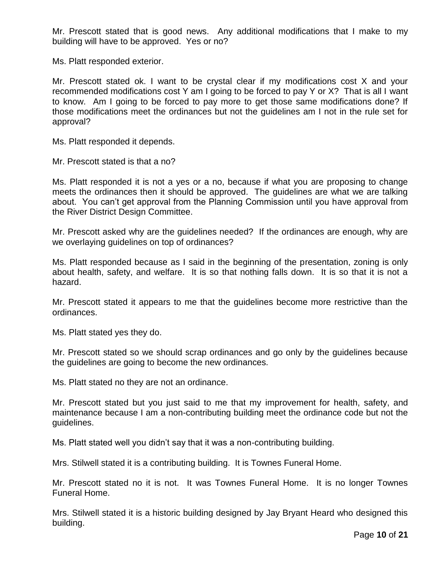Mr. Prescott stated that is good news. Any additional modifications that I make to my building will have to be approved. Yes or no?

Ms. Platt responded exterior.

Mr. Prescott stated ok. I want to be crystal clear if my modifications cost X and your recommended modifications cost Y am I going to be forced to pay Y or X? That is all I want to know. Am I going to be forced to pay more to get those same modifications done? If those modifications meet the ordinances but not the guidelines am I not in the rule set for approval?

Ms. Platt responded it depends.

Mr. Prescott stated is that a no?

Ms. Platt responded it is not a yes or a no, because if what you are proposing to change meets the ordinances then it should be approved. The guidelines are what we are talking about. You can't get approval from the Planning Commission until you have approval from the River District Design Committee.

Mr. Prescott asked why are the guidelines needed? If the ordinances are enough, why are we overlaying guidelines on top of ordinances?

Ms. Platt responded because as I said in the beginning of the presentation, zoning is only about health, safety, and welfare. It is so that nothing falls down. It is so that it is not a hazard.

Mr. Prescott stated it appears to me that the guidelines become more restrictive than the ordinances.

Ms. Platt stated yes they do.

Mr. Prescott stated so we should scrap ordinances and go only by the guidelines because the guidelines are going to become the new ordinances.

Ms. Platt stated no they are not an ordinance.

Mr. Prescott stated but you just said to me that my improvement for health, safety, and maintenance because I am a non-contributing building meet the ordinance code but not the guidelines.

Ms. Platt stated well you didn't say that it was a non-contributing building.

Mrs. Stilwell stated it is a contributing building. It is Townes Funeral Home.

Mr. Prescott stated no it is not. It was Townes Funeral Home. It is no longer Townes Funeral Home.

Mrs. Stilwell stated it is a historic building designed by Jay Bryant Heard who designed this building.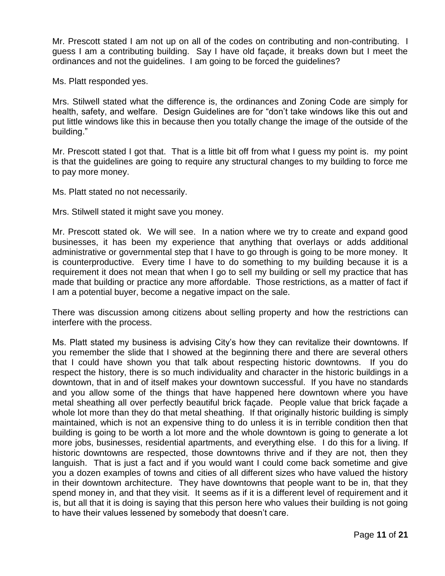Mr. Prescott stated I am not up on all of the codes on contributing and non-contributing. I guess I am a contributing building. Say I have old façade, it breaks down but I meet the ordinances and not the guidelines. I am going to be forced the guidelines?

Ms. Platt responded yes.

Mrs. Stilwell stated what the difference is, the ordinances and Zoning Code are simply for health, safety, and welfare. Design Guidelines are for "don't take windows like this out and put little windows like this in because then you totally change the image of the outside of the building."

Mr. Prescott stated I got that. That is a little bit off from what I guess my point is. my point is that the guidelines are going to require any structural changes to my building to force me to pay more money.

Ms. Platt stated no not necessarily.

Mrs. Stilwell stated it might save you money.

Mr. Prescott stated ok. We will see. In a nation where we try to create and expand good businesses, it has been my experience that anything that overlays or adds additional administrative or governmental step that I have to go through is going to be more money. It is counterproductive. Every time I have to do something to my building because it is a requirement it does not mean that when I go to sell my building or sell my practice that has made that building or practice any more affordable. Those restrictions, as a matter of fact if I am a potential buyer, become a negative impact on the sale.

There was discussion among citizens about selling property and how the restrictions can interfere with the process.

Ms. Platt stated my business is advising City's how they can revitalize their downtowns. If you remember the slide that I showed at the beginning there and there are several others that I could have shown you that talk about respecting historic downtowns. If you do respect the history, there is so much individuality and character in the historic buildings in a downtown, that in and of itself makes your downtown successful. If you have no standards and you allow some of the things that have happened here downtown where you have metal sheathing all over perfectly beautiful brick façade. People value that brick façade a whole lot more than they do that metal sheathing. If that originally historic building is simply maintained, which is not an expensive thing to do unless it is in terrible condition then that building is going to be worth a lot more and the whole downtown is going to generate a lot more jobs, businesses, residential apartments, and everything else. I do this for a living. If historic downtowns are respected, those downtowns thrive and if they are not, then they languish. That is just a fact and if you would want I could come back sometime and give you a dozen examples of towns and cities of all different sizes who have valued the history in their downtown architecture. They have downtowns that people want to be in, that they spend money in, and that they visit. It seems as if it is a different level of requirement and it is, but all that it is doing is saying that this person here who values their building is not going to have their values lessened by somebody that doesn't care.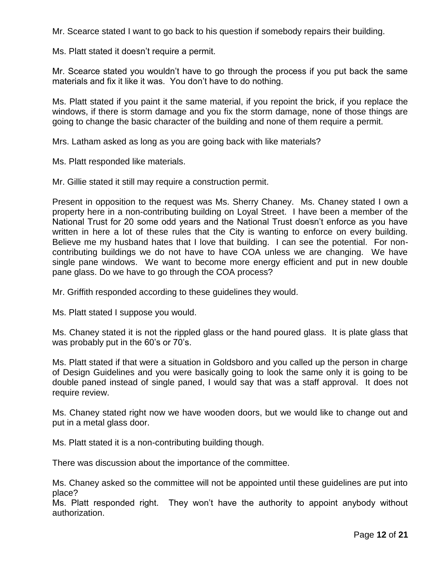Mr. Scearce stated I want to go back to his question if somebody repairs their building.

Ms. Platt stated it doesn't require a permit.

Mr. Scearce stated you wouldn't have to go through the process if you put back the same materials and fix it like it was. You don't have to do nothing.

Ms. Platt stated if you paint it the same material, if you repoint the brick, if you replace the windows, if there is storm damage and you fix the storm damage, none of those things are going to change the basic character of the building and none of them require a permit.

Mrs. Latham asked as long as you are going back with like materials?

Ms. Platt responded like materials.

Mr. Gillie stated it still may require a construction permit.

Present in opposition to the request was Ms. Sherry Chaney. Ms. Chaney stated I own a property here in a non-contributing building on Loyal Street. I have been a member of the National Trust for 20 some odd years and the National Trust doesn't enforce as you have written in here a lot of these rules that the City is wanting to enforce on every building. Believe me my husband hates that I love that building. I can see the potential. For noncontributing buildings we do not have to have COA unless we are changing. We have single pane windows. We want to become more energy efficient and put in new double pane glass. Do we have to go through the COA process?

Mr. Griffith responded according to these guidelines they would.

Ms. Platt stated I suppose you would.

Ms. Chaney stated it is not the rippled glass or the hand poured glass. It is plate glass that was probably put in the 60's or 70's.

Ms. Platt stated if that were a situation in Goldsboro and you called up the person in charge of Design Guidelines and you were basically going to look the same only it is going to be double paned instead of single paned, I would say that was a staff approval. It does not require review.

Ms. Chaney stated right now we have wooden doors, but we would like to change out and put in a metal glass door.

Ms. Platt stated it is a non-contributing building though.

There was discussion about the importance of the committee.

Ms. Chaney asked so the committee will not be appointed until these guidelines are put into place?

Ms. Platt responded right. They won't have the authority to appoint anybody without authorization.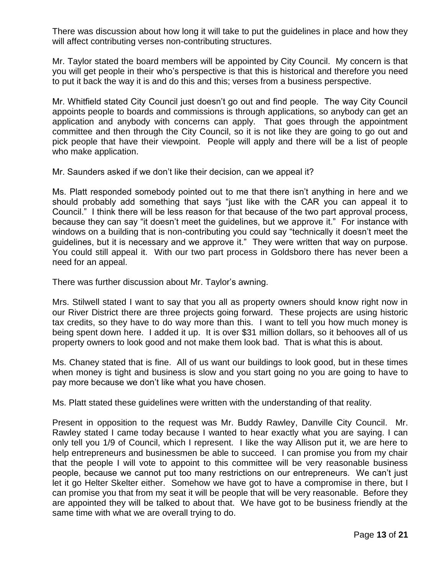There was discussion about how long it will take to put the guidelines in place and how they will affect contributing verses non-contributing structures.

Mr. Taylor stated the board members will be appointed by City Council. My concern is that you will get people in their who's perspective is that this is historical and therefore you need to put it back the way it is and do this and this; verses from a business perspective.

Mr. Whitfield stated City Council just doesn't go out and find people. The way City Council appoints people to boards and commissions is through applications, so anybody can get an application and anybody with concerns can apply. That goes through the appointment committee and then through the City Council, so it is not like they are going to go out and pick people that have their viewpoint. People will apply and there will be a list of people who make application.

Mr. Saunders asked if we don't like their decision, can we appeal it?

Ms. Platt responded somebody pointed out to me that there isn't anything in here and we should probably add something that says "just like with the CAR you can appeal it to Council." I think there will be less reason for that because of the two part approval process, because they can say "it doesn't meet the guidelines, but we approve it." For instance with windows on a building that is non-contributing you could say "technically it doesn't meet the guidelines, but it is necessary and we approve it." They were written that way on purpose. You could still appeal it. With our two part process in Goldsboro there has never been a need for an appeal.

There was further discussion about Mr. Taylor's awning.

Mrs. Stilwell stated I want to say that you all as property owners should know right now in our River District there are three projects going forward. These projects are using historic tax credits, so they have to do way more than this. I want to tell you how much money is being spent down here. I added it up. It is over \$31 million dollars, so it behooves all of us property owners to look good and not make them look bad. That is what this is about.

Ms. Chaney stated that is fine. All of us want our buildings to look good, but in these times when money is tight and business is slow and you start going no you are going to have to pay more because we don't like what you have chosen.

Ms. Platt stated these guidelines were written with the understanding of that reality.

Present in opposition to the request was Mr. Buddy Rawley, Danville City Council. Mr. Rawley stated I came today because I wanted to hear exactly what you are saying. I can only tell you 1/9 of Council, which I represent. I like the way Allison put it, we are here to help entrepreneurs and businessmen be able to succeed. I can promise you from my chair that the people I will vote to appoint to this committee will be very reasonable business people, because we cannot put too many restrictions on our entrepreneurs. We can't just let it go Helter Skelter either. Somehow we have got to have a compromise in there, but I can promise you that from my seat it will be people that will be very reasonable. Before they are appointed they will be talked to about that. We have got to be business friendly at the same time with what we are overall trying to do.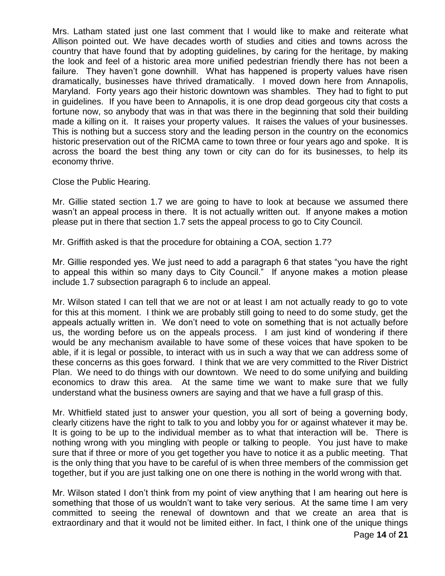Mrs. Latham stated just one last comment that I would like to make and reiterate what Allison pointed out. We have decades worth of studies and cities and towns across the country that have found that by adopting guidelines, by caring for the heritage, by making the look and feel of a historic area more unified pedestrian friendly there has not been a failure. They haven't gone downhill. What has happened is property values have risen dramatically, businesses have thrived dramatically. I moved down here from Annapolis, Maryland. Forty years ago their historic downtown was shambles. They had to fight to put in guidelines. If you have been to Annapolis, it is one drop dead gorgeous city that costs a fortune now, so anybody that was in that was there in the beginning that sold their building made a killing on it. It raises your property values. It raises the values of your businesses. This is nothing but a success story and the leading person in the country on the economics historic preservation out of the RICMA came to town three or four years ago and spoke. It is across the board the best thing any town or city can do for its businesses, to help its economy thrive.

Close the Public Hearing.

Mr. Gillie stated section 1.7 we are going to have to look at because we assumed there wasn't an appeal process in there. It is not actually written out. If anyone makes a motion please put in there that section 1.7 sets the appeal process to go to City Council.

Mr. Griffith asked is that the procedure for obtaining a COA, section 1.7?

Mr. Gillie responded yes. We just need to add a paragraph 6 that states "you have the right to appeal this within so many days to City Council." If anyone makes a motion please include 1.7 subsection paragraph 6 to include an appeal.

Mr. Wilson stated I can tell that we are not or at least I am not actually ready to go to vote for this at this moment. I think we are probably still going to need to do some study, get the appeals actually written in. We don't need to vote on something that is not actually before us, the wording before us on the appeals process. I am just kind of wondering if there would be any mechanism available to have some of these voices that have spoken to be able, if it is legal or possible, to interact with us in such a way that we can address some of these concerns as this goes forward. I think that we are very committed to the River District Plan. We need to do things with our downtown. We need to do some unifying and building economics to draw this area. At the same time we want to make sure that we fully understand what the business owners are saying and that we have a full grasp of this.

Mr. Whitfield stated just to answer your question, you all sort of being a governing body, clearly citizens have the right to talk to you and lobby you for or against whatever it may be. It is going to be up to the individual member as to what that interaction will be. There is nothing wrong with you mingling with people or talking to people. You just have to make sure that if three or more of you get together you have to notice it as a public meeting. That is the only thing that you have to be careful of is when three members of the commission get together, but if you are just talking one on one there is nothing in the world wrong with that.

Mr. Wilson stated I don't think from my point of view anything that I am hearing out here is something that those of us wouldn't want to take very serious. At the same time I am very committed to seeing the renewal of downtown and that we create an area that is extraordinary and that it would not be limited either. In fact, I think one of the unique things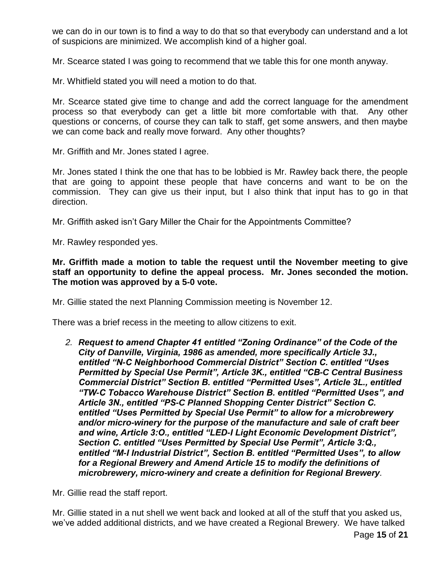we can do in our town is to find a way to do that so that everybody can understand and a lot of suspicions are minimized. We accomplish kind of a higher goal.

Mr. Scearce stated I was going to recommend that we table this for one month anyway.

Mr. Whitfield stated you will need a motion to do that.

Mr. Scearce stated give time to change and add the correct language for the amendment process so that everybody can get a little bit more comfortable with that. Any other questions or concerns, of course they can talk to staff, get some answers, and then maybe we can come back and really move forward. Any other thoughts?

Mr. Griffith and Mr. Jones stated I agree.

Mr. Jones stated I think the one that has to be lobbied is Mr. Rawley back there, the people that are going to appoint these people that have concerns and want to be on the commission. They can give us their input, but I also think that input has to go in that direction.

Mr. Griffith asked isn't Gary Miller the Chair for the Appointments Committee?

Mr. Rawley responded yes.

**Mr. Griffith made a motion to table the request until the November meeting to give staff an opportunity to define the appeal process. Mr. Jones seconded the motion. The motion was approved by a 5-0 vote.** 

Mr. Gillie stated the next Planning Commission meeting is November 12.

There was a brief recess in the meeting to allow citizens to exit.

*2. Request to amend Chapter 41 entitled "Zoning Ordinance" of the Code of the City of Danville, Virginia, 1986 as amended, more specifically Article 3J., entitled "N-C Neighborhood Commercial District" Section C. entitled "Uses Permitted by Special Use Permit", Article 3K., entitled "CB-C Central Business Commercial District" Section B. entitled "Permitted Uses", Article 3L., entitled "TW-C Tobacco Warehouse District" Section B. entitled "Permitted Uses", and Article 3N., entitled "PS-C Planned Shopping Center District" Section C. entitled "Uses Permitted by Special Use Permit" to allow for a microbrewery and/or micro-winery for the purpose of the manufacture and sale of craft beer and wine, Article 3:O., entitled "LED-I Light Economic Development District", Section C. entitled "Uses Permitted by Special Use Permit", Article 3:Q., entitled "M-I Industrial District", Section B. entitled "Permitted Uses", to allow for a Regional Brewery and Amend Article 15 to modify the definitions of microbrewery, micro-winery and create a definition for Regional Brewery.*

Mr. Gillie read the staff report.

Mr. Gillie stated in a nut shell we went back and looked at all of the stuff that you asked us, we've added additional districts, and we have created a Regional Brewery. We have talked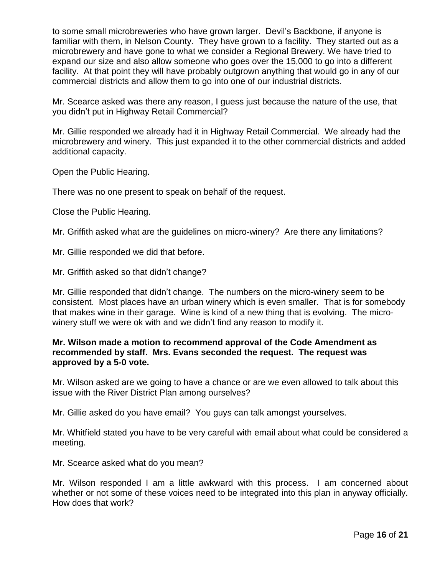to some small microbreweries who have grown larger. Devil's Backbone, if anyone is familiar with them, in Nelson County. They have grown to a facility. They started out as a microbrewery and have gone to what we consider a Regional Brewery. We have tried to expand our size and also allow someone who goes over the 15,000 to go into a different facility. At that point they will have probably outgrown anything that would go in any of our commercial districts and allow them to go into one of our industrial districts.

Mr. Scearce asked was there any reason, I guess just because the nature of the use, that you didn't put in Highway Retail Commercial?

Mr. Gillie responded we already had it in Highway Retail Commercial. We already had the microbrewery and winery. This just expanded it to the other commercial districts and added additional capacity.

Open the Public Hearing.

There was no one present to speak on behalf of the request.

Close the Public Hearing.

Mr. Griffith asked what are the guidelines on micro-winery? Are there any limitations?

Mr. Gillie responded we did that before.

Mr. Griffith asked so that didn't change?

Mr. Gillie responded that didn't change. The numbers on the micro-winery seem to be consistent. Most places have an urban winery which is even smaller. That is for somebody that makes wine in their garage. Wine is kind of a new thing that is evolving. The microwinery stuff we were ok with and we didn't find any reason to modify it.

# **Mr. Wilson made a motion to recommend approval of the Code Amendment as recommended by staff. Mrs. Evans seconded the request. The request was approved by a 5-0 vote.**

Mr. Wilson asked are we going to have a chance or are we even allowed to talk about this issue with the River District Plan among ourselves?

Mr. Gillie asked do you have email? You guys can talk amongst yourselves.

Mr. Whitfield stated you have to be very careful with email about what could be considered a meeting.

Mr. Scearce asked what do you mean?

Mr. Wilson responded I am a little awkward with this process. I am concerned about whether or not some of these voices need to be integrated into this plan in anyway officially. How does that work?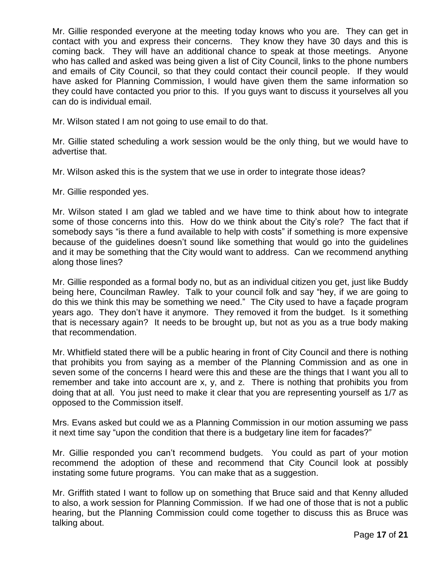Mr. Gillie responded everyone at the meeting today knows who you are. They can get in contact with you and express their concerns. They know they have 30 days and this is coming back. They will have an additional chance to speak at those meetings. Anyone who has called and asked was being given a list of City Council, links to the phone numbers and emails of City Council, so that they could contact their council people. If they would have asked for Planning Commission, I would have given them the same information so they could have contacted you prior to this. If you guys want to discuss it yourselves all you can do is individual email.

Mr. Wilson stated I am not going to use email to do that.

Mr. Gillie stated scheduling a work session would be the only thing, but we would have to advertise that.

Mr. Wilson asked this is the system that we use in order to integrate those ideas?

Mr. Gillie responded yes.

Mr. Wilson stated I am glad we tabled and we have time to think about how to integrate some of those concerns into this. How do we think about the City's role? The fact that if somebody says "is there a fund available to help with costs" if something is more expensive because of the guidelines doesn't sound like something that would go into the guidelines and it may be something that the City would want to address. Can we recommend anything along those lines?

Mr. Gillie responded as a formal body no, but as an individual citizen you get, just like Buddy being here, Councilman Rawley. Talk to your council folk and say "hey, if we are going to do this we think this may be something we need." The City used to have a façade program years ago. They don't have it anymore. They removed it from the budget. Is it something that is necessary again? It needs to be brought up, but not as you as a true body making that recommendation.

Mr. Whitfield stated there will be a public hearing in front of City Council and there is nothing that prohibits you from saying as a member of the Planning Commission and as one in seven some of the concerns I heard were this and these are the things that I want you all to remember and take into account are x, y, and z. There is nothing that prohibits you from doing that at all. You just need to make it clear that you are representing yourself as 1/7 as opposed to the Commission itself.

Mrs. Evans asked but could we as a Planning Commission in our motion assuming we pass it next time say "upon the condition that there is a budgetary line item for facades?"

Mr. Gillie responded you can't recommend budgets. You could as part of your motion recommend the adoption of these and recommend that City Council look at possibly instating some future programs. You can make that as a suggestion.

Mr. Griffith stated I want to follow up on something that Bruce said and that Kenny alluded to also, a work session for Planning Commission. If we had one of those that is not a public hearing, but the Planning Commission could come together to discuss this as Bruce was talking about.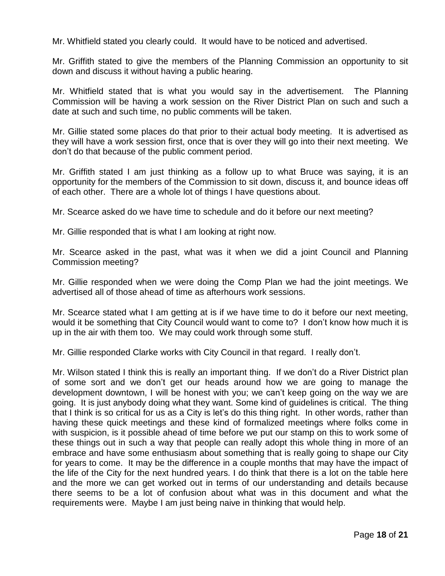Mr. Whitfield stated you clearly could. It would have to be noticed and advertised.

Mr. Griffith stated to give the members of the Planning Commission an opportunity to sit down and discuss it without having a public hearing.

Mr. Whitfield stated that is what you would say in the advertisement. The Planning Commission will be having a work session on the River District Plan on such and such a date at such and such time, no public comments will be taken.

Mr. Gillie stated some places do that prior to their actual body meeting. It is advertised as they will have a work session first, once that is over they will go into their next meeting. We don't do that because of the public comment period.

Mr. Griffith stated I am just thinking as a follow up to what Bruce was saying, it is an opportunity for the members of the Commission to sit down, discuss it, and bounce ideas off of each other. There are a whole lot of things I have questions about.

Mr. Scearce asked do we have time to schedule and do it before our next meeting?

Mr. Gillie responded that is what I am looking at right now.

Mr. Scearce asked in the past, what was it when we did a joint Council and Planning Commission meeting?

Mr. Gillie responded when we were doing the Comp Plan we had the joint meetings. We advertised all of those ahead of time as afterhours work sessions.

Mr. Scearce stated what I am getting at is if we have time to do it before our next meeting, would it be something that City Council would want to come to? I don't know how much it is up in the air with them too. We may could work through some stuff.

Mr. Gillie responded Clarke works with City Council in that regard. I really don't.

Mr. Wilson stated I think this is really an important thing. If we don't do a River District plan of some sort and we don't get our heads around how we are going to manage the development downtown, I will be honest with you; we can't keep going on the way we are going. It is just anybody doing what they want. Some kind of guidelines is critical. The thing that I think is so critical for us as a City is let's do this thing right. In other words, rather than having these quick meetings and these kind of formalized meetings where folks come in with suspicion, is it possible ahead of time before we put our stamp on this to work some of these things out in such a way that people can really adopt this whole thing in more of an embrace and have some enthusiasm about something that is really going to shape our City for years to come. It may be the difference in a couple months that may have the impact of the life of the City for the next hundred years. I do think that there is a lot on the table here and the more we can get worked out in terms of our understanding and details because there seems to be a lot of confusion about what was in this document and what the requirements were. Maybe I am just being naive in thinking that would help.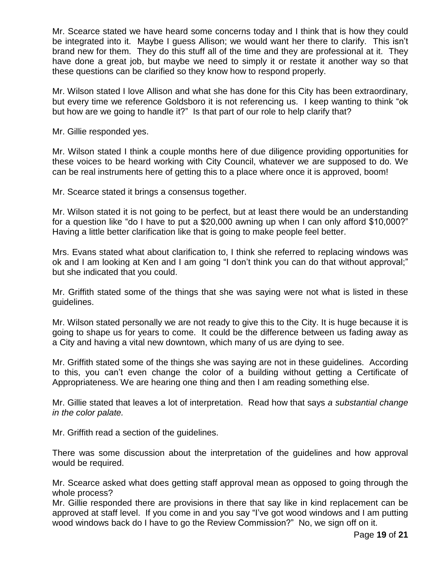Mr. Scearce stated we have heard some concerns today and I think that is how they could be integrated into it. Maybe I guess Allison; we would want her there to clarify. This isn't brand new for them. They do this stuff all of the time and they are professional at it. They have done a great job, but maybe we need to simply it or restate it another way so that these questions can be clarified so they know how to respond properly.

Mr. Wilson stated I love Allison and what she has done for this City has been extraordinary, but every time we reference Goldsboro it is not referencing us. I keep wanting to think "ok but how are we going to handle it?" Is that part of our role to help clarify that?

Mr. Gillie responded yes.

Mr. Wilson stated I think a couple months here of due diligence providing opportunities for these voices to be heard working with City Council, whatever we are supposed to do. We can be real instruments here of getting this to a place where once it is approved, boom!

Mr. Scearce stated it brings a consensus together.

Mr. Wilson stated it is not going to be perfect, but at least there would be an understanding for a question like "do I have to put a \$20,000 awning up when I can only afford \$10,000?" Having a little better clarification like that is going to make people feel better.

Mrs. Evans stated what about clarification to, I think she referred to replacing windows was ok and I am looking at Ken and I am going "I don't think you can do that without approval;" but she indicated that you could.

Mr. Griffith stated some of the things that she was saying were not what is listed in these guidelines.

Mr. Wilson stated personally we are not ready to give this to the City. It is huge because it is going to shape us for years to come. It could be the difference between us fading away as a City and having a vital new downtown, which many of us are dying to see.

Mr. Griffith stated some of the things she was saying are not in these guidelines. According to this, you can't even change the color of a building without getting a Certificate of Appropriateness. We are hearing one thing and then I am reading something else.

Mr. Gillie stated that leaves a lot of interpretation. Read how that says *a substantial change in the color palate.*

Mr. Griffith read a section of the guidelines.

There was some discussion about the interpretation of the guidelines and how approval would be required.

Mr. Scearce asked what does getting staff approval mean as opposed to going through the whole process?

Mr. Gillie responded there are provisions in there that say like in kind replacement can be approved at staff level. If you come in and you say "I've got wood windows and I am putting wood windows back do I have to go the Review Commission?" No, we sign off on it.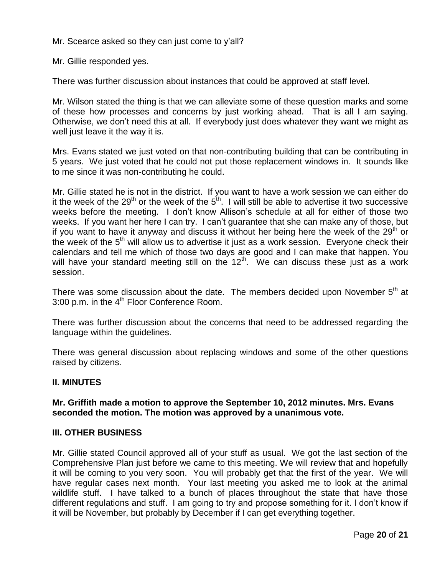Mr. Scearce asked so they can just come to y'all?

Mr. Gillie responded yes.

There was further discussion about instances that could be approved at staff level.

Mr. Wilson stated the thing is that we can alleviate some of these question marks and some of these how processes and concerns by just working ahead. That is all I am saying. Otherwise, we don't need this at all. If everybody just does whatever they want we might as well just leave it the way it is.

Mrs. Evans stated we just voted on that non-contributing building that can be contributing in 5 years. We just voted that he could not put those replacement windows in. It sounds like to me since it was non-contributing he could.

Mr. Gillie stated he is not in the district. If you want to have a work session we can either do it the week of the 29<sup>th</sup> or the week of the 5<sup>th</sup>. I will still be able to advertise it two successive weeks before the meeting. I don't know Allison's schedule at all for either of those two weeks. If you want her here I can try. I can't guarantee that she can make any of those, but if you want to have it anyway and discuss it without her being here the week of the  $29<sup>th</sup>$  or the week of the 5<sup>th</sup> will allow us to advertise it just as a work session. Everyone check their calendars and tell me which of those two days are good and I can make that happen. You will have your standard meeting still on the  $12<sup>th</sup>$ . We can discuss these just as a work session.

There was some discussion about the date. The members decided upon November  $5<sup>th</sup>$  at 3:00 p.m. in the 4<sup>th</sup> Floor Conference Room.

There was further discussion about the concerns that need to be addressed regarding the language within the guidelines.

There was general discussion about replacing windows and some of the other questions raised by citizens.

### **II. MINUTES**

## **Mr. Griffith made a motion to approve the September 10, 2012 minutes. Mrs. Evans seconded the motion. The motion was approved by a unanimous vote.**

### **III. OTHER BUSINESS**

Mr. Gillie stated Council approved all of your stuff as usual. We got the last section of the Comprehensive Plan just before we came to this meeting. We will review that and hopefully it will be coming to you very soon. You will probably get that the first of the year. We will have regular cases next month. Your last meeting you asked me to look at the animal wildlife stuff. I have talked to a bunch of places throughout the state that have those different regulations and stuff. I am going to try and propose something for it. I don't know if it will be November, but probably by December if I can get everything together.